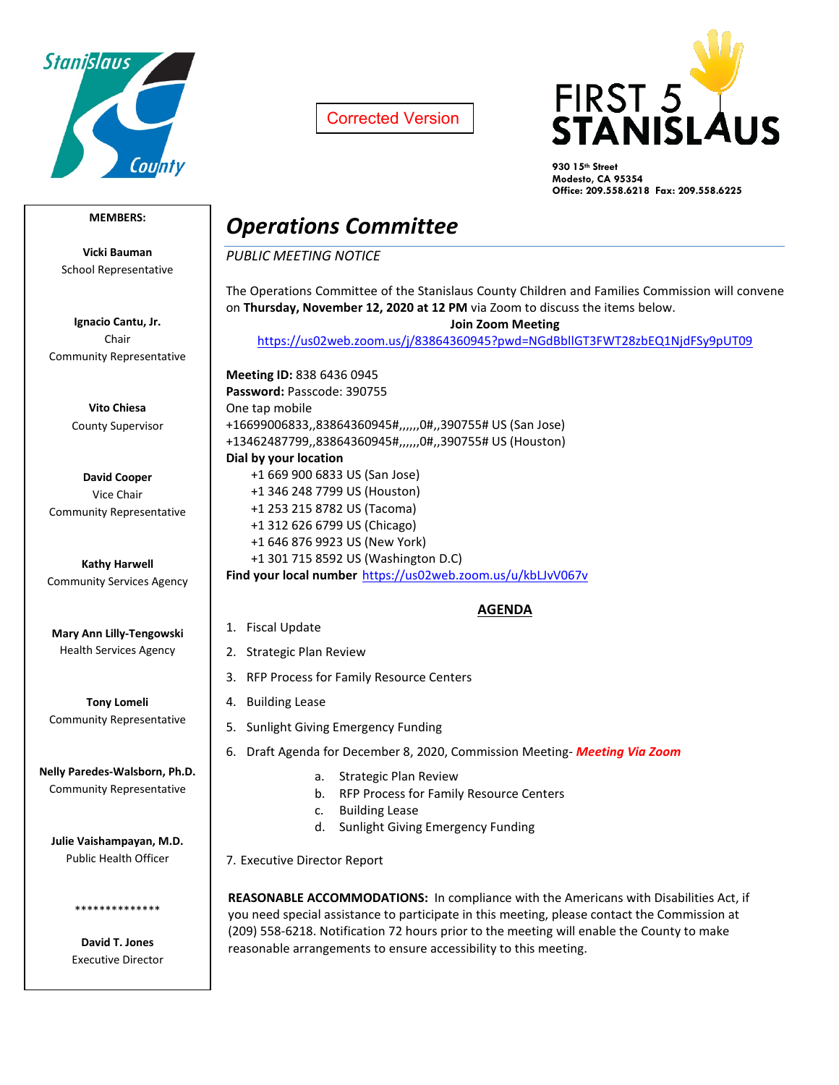

Corrected Version



**930 15th Street Modesto, CA 95354 Office: 209.558.6218 Fax: 209.558.6225**

### **MEMBERS:**

**Vicki Bauman** School Representative

**Ignacio Cantu, Jr.** Chair Community Representative

> **Vito Chiesa** County Supervisor

**David Cooper** Vice Chair Community Representative

**Kathy Harwell** Community Services Agency

**Mary Ann Lilly-Tengowski** Health Services Agency

**Tony Lomeli** Community Representative

**Nelly Paredes-Walsborn, Ph.D.** Community Representative

**Julie Vaishampayan, M.D.** Public Health Officer

> **David T. Jones** Executive Director

\*\*\*\*\*\*\*\*\*\*\*\*\*\*

# *Operations Committee*

*PUBLIC MEETING NOTICE*

The Operations Committee of the Stanislaus County Children and Families Commission will convene on **Thursday, November 12, 2020 at 12 PM** via Zoom to discuss the items below.

**Join Zoom Meeting**

<https://us02web.zoom.us/j/83864360945?pwd=NGdBbllGT3FWT28zbEQ1NjdFSy9pUT09>

**Meeting ID:** 838 6436 0945 **Password:** Passcode: 390755 One tap mobile +16699006833,,83864360945#,,,,,,0#,,390755# US (San Jose) +13462487799,,83864360945#,,,,,,0#,,390755# US (Houston) **Dial by your location** +1 669 900 6833 US (San Jose) +1 346 248 7799 US (Houston) +1 253 215 8782 US (Tacoma) +1 312 626 6799 US (Chicago) +1 646 876 9923 US (New York) +1 301 715 8592 US (Washington D.C)

**Find your local number** <https://us02web.zoom.us/u/kbLJvV067v>

## **AGENDA**

- 1. Fiscal Update
- 2. Strategic Plan Review
- 3. RFP Process for Family Resource Centers
- 4. Building Lease
- 5. Sunlight Giving Emergency Funding
- 6. Draft Agenda for December 8, 2020, Commission Meeting- *Meeting Via Zoom*
	- a. Strategic Plan Review
	- b. RFP Process for Family Resource Centers
	- c. Building Lease
	- d. Sunlight Giving Emergency Funding

7. Executive Director Report

**REASONABLE ACCOMMODATIONS:** In compliance with the Americans with Disabilities Act, if you need special assistance to participate in this meeting, please contact the Commission at (209) 558-6218. Notification 72 hours prior to the meeting will enable the County to make reasonable arrangements to ensure accessibility to this meeting.